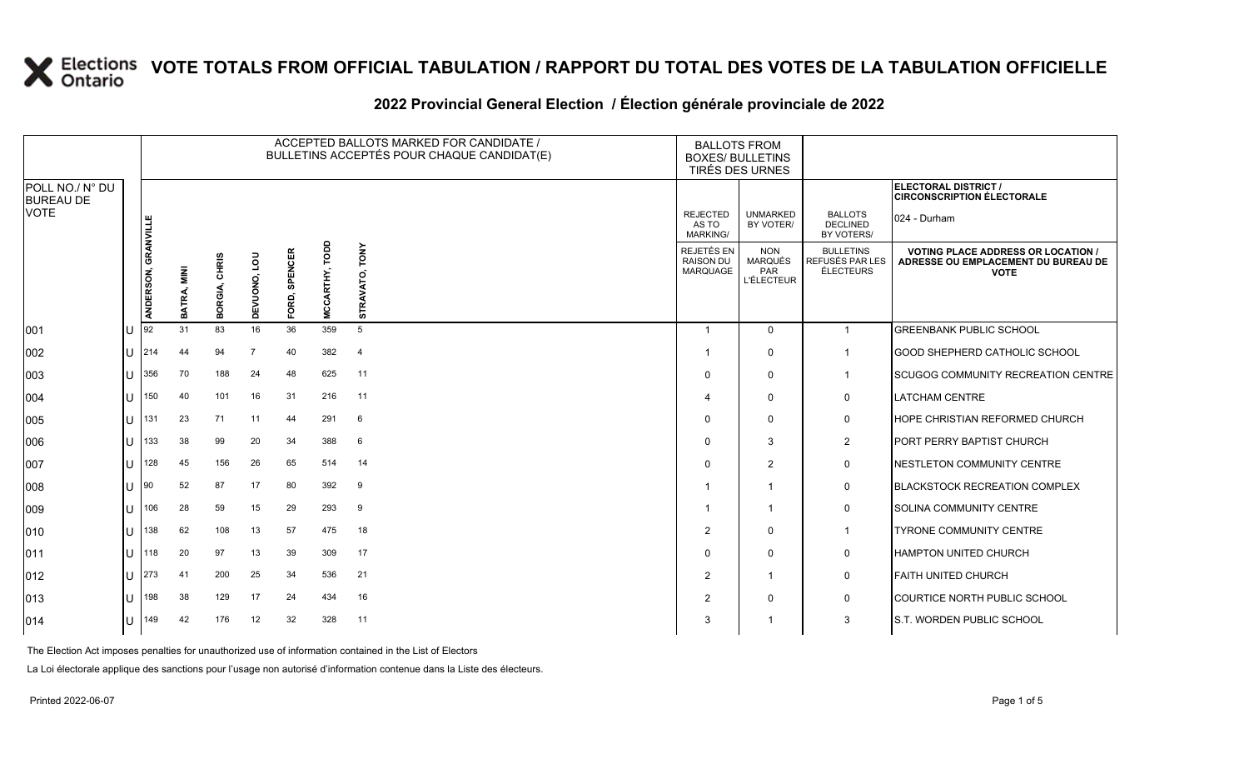#### 2022 Provincial General Election / Election générale provinciale de 2022

|                                     |     |                     |                      |                         |                |               |                   | ACCEPTED BALLOTS MARKED FOR CANDIDATE /<br>BULLETINS ACCEPTÉS POUR CHAQUE CANDIDAT(E) | <b>BALLOTS FROM</b><br><b>BOXES/ BULLETINS</b>    | TIRÉS DES URNES                                          |                                                         |                                                                                                 |
|-------------------------------------|-----|---------------------|----------------------|-------------------------|----------------|---------------|-------------------|---------------------------------------------------------------------------------------|---------------------------------------------------|----------------------------------------------------------|---------------------------------------------------------|-------------------------------------------------------------------------------------------------|
| POLL NO./ N° DU<br><b>BUREAU DE</b> |     |                     |                      |                         |                |               |                   |                                                                                       |                                                   |                                                          |                                                         | ELECTORAL DISTRICT /<br><b>CIRCONSCRIPTION ÉLECTORALE</b>                                       |
| <b>VOTE</b>                         |     |                     |                      |                         |                |               |                   |                                                                                       | <b>REJECTED</b><br>AS TO<br><b>MARKING/</b>       | <b>UNMARKED</b><br>BY VOTER/                             | <b>BALLOTS</b><br><b>DECLINED</b><br>BY VOTERS/         | 024 - Durham                                                                                    |
|                                     |     | ANDERSON, GRANVILLE | <b>MIN</b><br>BATRA, | <b>CHRIS</b><br>BORGIA, | DEVUONO, LOU   | FORD, SPENCER | TODD<br>MCCARTHY, | TONY<br>STRAVA                                                                        | <b>REJETÉS EN</b><br><b>RAISON DU</b><br>MARQUAGE | <b>NON</b><br><b>MARQUÉS</b><br>PAR<br><b>L'ÉLECTEUR</b> | <b>BULLETINS</b><br>REFUSÉS PAR LES<br><b>ÉLECTEURS</b> | <b>VOTING PLACE ADDRESS OR LOCATION /</b><br>ADRESSE OU EMPLACEMENT DU BUREAU DE<br><b>VOTE</b> |
| 001                                 | IU  | 92                  | 31                   | 83                      | 16             | 36            | 359               | $5\overline{5}$                                                                       | -1                                                | $\Omega$                                                 | $\mathbf{1}$                                            | <b>GREENBANK PUBLIC SCHOOL</b>                                                                  |
| 002                                 | lu  | 214                 | 44                   | 94                      | $\overline{7}$ | 40            | 382               | $\overline{4}$                                                                        |                                                   | $\mathbf 0$                                              | $\overline{1}$                                          | GOOD SHEPHERD CATHOLIC SCHOOL                                                                   |
| 003                                 | lU  | 356                 | 70                   | 188                     | 24             | 48            | 625               | 11                                                                                    | $\Omega$                                          | $\mathbf 0$                                              | $\overline{1}$                                          | <b>ISCUGOG COMMUNITY RECREATION CENTRE</b>                                                      |
| 004                                 | lu  | 150                 | 40                   | 101                     | 16             | 31            | 216               | 11                                                                                    |                                                   | $\mathbf 0$                                              | 0                                                       | <b>LATCHAM CENTRE</b>                                                                           |
| 005                                 | lu  | 131                 | 23                   | 71                      | 11             | 44            | 291               | 6                                                                                     | $\Omega$                                          | $\Omega$                                                 | 0                                                       | <b>HOPE CHRISTIAN REFORMED CHURCH</b>                                                           |
| 006                                 | IU  | 133                 | 38                   | 99                      | 20             | 34            | 388               | 6                                                                                     | $\Omega$                                          | 3                                                        | $\overline{2}$                                          | <b>PORT PERRY BAPTIST CHURCH</b>                                                                |
| 007                                 | IU  | 128                 | 45                   | 156                     | 26             | 65            | 514               | 14                                                                                    |                                                   | $\overline{2}$                                           | 0                                                       | NESTLETON COMMUNITY CENTRE                                                                      |
| 008                                 | lu  | 90                  | 52                   | 87                      | 17             | 80            | 392               | 9                                                                                     |                                                   | $\overline{1}$                                           | $\mathbf 0$                                             | <b>BLACKSTOCK RECREATION COMPLEX</b>                                                            |
| 009                                 | lU  | 106                 | 28                   | 59                      | 15             | 29            | 293               | 9                                                                                     |                                                   | $\overline{1}$                                           | $\mathbf 0$                                             | <b>SOLINA COMMUNITY CENTRE</b>                                                                  |
| 010                                 | lu  | 138                 | 62                   | 108                     | 13             | 57            | 475               | 18                                                                                    | 2                                                 | $\mathbf 0$                                              | $\overline{1}$                                          | TYRONE COMMUNITY CENTRE                                                                         |
| 011                                 | lU  | 118                 | 20                   | 97                      | 13             | 39            | 309               | 17                                                                                    | $\Omega$                                          | $\mathbf 0$                                              | 0                                                       | <b>HAMPTON UNITED CHURCH</b>                                                                    |
| 012                                 | IU  | 273                 | 41                   | 200                     | 25             | 34            | 536               | 21                                                                                    | 2                                                 | $\overline{1}$                                           | 0                                                       | <b>FAITH UNITED CHURCH</b>                                                                      |
| 013                                 | IU  | 198                 | 38                   | 129                     | 17             | 24            | 434               | 16                                                                                    | $\overline{2}$                                    | $\mathbf 0$                                              | 0                                                       | COURTICE NORTH PUBLIC SCHOOL                                                                    |
| 014                                 | lU. | 149                 | 42                   | 176                     | 12             | 32            | 328               | 11                                                                                    | 3                                                 | -1                                                       | 3                                                       | <b>I</b> S.T. WORDEN PUBLIC SCHOOL                                                              |

The Election Act imposes penalties for unauthorized use of information contained in the List of Electors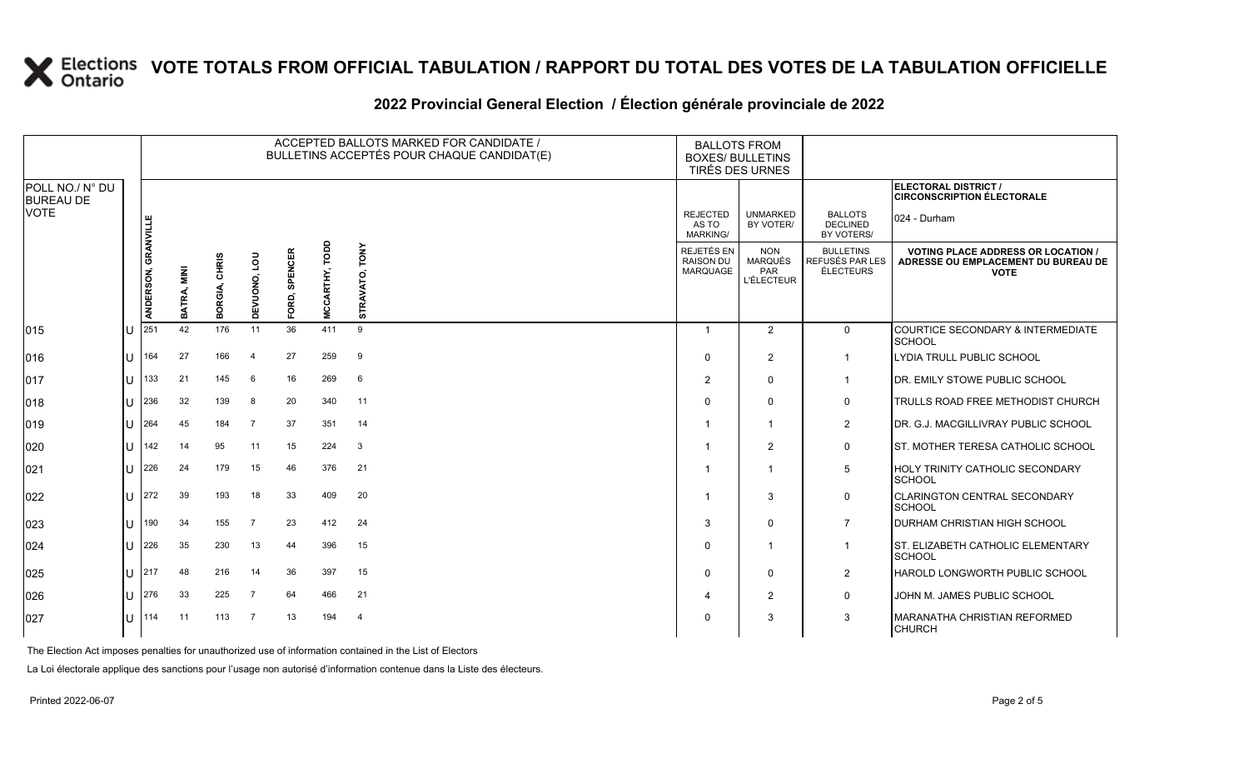|                                     |                     |                       |                  |                |                         |                | ACCEPTED BALLOTS MARKED FOR CANDIDATE /<br>BULLETINS ACCEPTÉS POUR CHAQUE CANDIDAT(E) |                                             | <b>BALLOTS FROM</b><br><b>BOXES/ BULLETINS</b><br>TIRÉS DES URNES |                                                         |                                                                                                 |
|-------------------------------------|---------------------|-----------------------|------------------|----------------|-------------------------|----------------|---------------------------------------------------------------------------------------|---------------------------------------------|-------------------------------------------------------------------|---------------------------------------------------------|-------------------------------------------------------------------------------------------------|
| POLL NO./ N° DU<br><b>BUREAU DE</b> |                     |                       |                  |                |                         |                |                                                                                       |                                             |                                                                   |                                                         | <b>ELECTORAL DISTRICT /</b><br><b>CIRCONSCRIPTION ÉLECTORALE</b>                                |
| <b>VOTE</b>                         |                     |                       |                  |                |                         |                |                                                                                       | <b>REJECTED</b><br>AS TO<br><b>MARKING/</b> | <b>UNMARKED</b><br>BY VOTER/                                      | <b>BALLOTS</b><br><b>DECLINED</b><br>BY VOTERS/         | 024 - Durham                                                                                    |
|                                     | ANDERSON, GRANVILLE | <b>MINI</b><br>BATRA, | CHRIS<br>BORGIA, | Ρg<br>DEVUONO, | <b>SPENCER</b><br>FORD, | MCCARTHY, TODD | TONY<br>STRAVATO,                                                                     | REJETÉS EN<br><b>RAISON DU</b><br>MARQUAGE  | <b>NON</b><br>MARQUÉS<br>PAR<br><b>L'ÉLECTEUR</b>                 | <b>BULLETINS</b><br>REFUSÉS PAR LES<br><b>ÉLECTEURS</b> | <b>VOTING PLACE ADDRESS OR LOCATION /</b><br>ADRESSE OU EMPLACEMENT DU BUREAU DE<br><b>VOTE</b> |
| 015                                 | 251                 | 42                    | 176              | 11             | 36                      | 411            | 9                                                                                     | $\mathbf{1}$                                | 2                                                                 | $\mathbf 0$                                             | COURTICE SECONDARY & INTERMEDIATE                                                               |
|                                     |                     |                       |                  |                |                         |                |                                                                                       |                                             |                                                                   |                                                         | <b>SCHOOL</b>                                                                                   |
| 016                                 | 164                 | 27                    | 166              | $\overline{4}$ | 27                      | 259            | 9                                                                                     | 0                                           | 2                                                                 | $\mathbf 1$                                             | LYDIA TRULL PUBLIC SCHOOL                                                                       |
| 017                                 | 133                 | 21                    | 145              | - 6            | 16                      | 269            | 6                                                                                     | $\overline{2}$                              | $\Omega$                                                          | $\mathbf 1$                                             | DR. EMILY STOWE PUBLIC SCHOOL                                                                   |
| 018                                 | 236                 | 32                    | 139              | -8             | 20                      | 340            | 11                                                                                    | $\Omega$                                    | $\Omega$                                                          | 0                                                       | TRULLS ROAD FREE METHODIST CHURCH                                                               |
| 019                                 | 264                 | 45                    | 184              | $\overline{7}$ | 37                      | 351            | 14                                                                                    |                                             | $\overline{\phantom{a}}$                                          | $\overline{2}$                                          | DR. G.J. MACGILLIVRAY PUBLIC SCHOOL                                                             |
| 020                                 | 142                 | 14                    | 95               | 11             | 15                      | 224            | 3                                                                                     |                                             | $\overline{2}$                                                    | $\mathbf 0$                                             | ST. MOTHER TERESA CATHOLIC SCHOOL                                                               |
| 021                                 | 226                 | 24                    | 179              | 15             | 46                      | 376            | 21                                                                                    |                                             | r,                                                                | 5                                                       | <b>HOLY TRINITY CATHOLIC SECONDARY</b><br><b>SCHOOL</b>                                         |
| 022                                 | 272                 | 39                    | 193              | 18             | 33                      | 409            | 20                                                                                    | -1                                          | 3                                                                 | $\mathbf 0$                                             | <b>CLARINGTON CENTRAL SECONDARY</b><br><b>SCHOOL</b>                                            |
| 023                                 | 190                 | 34                    | 155              | $\overline{7}$ | 23                      | 412            | 24                                                                                    | 3                                           | $\Omega$                                                          | $\overline{7}$                                          | <b>DURHAM CHRISTIAN HIGH SCHOOL</b>                                                             |
| 024                                 | 226                 | 35                    | 230              | 13             | 44                      | 396            | 15                                                                                    | 0                                           | -1                                                                | $\mathbf{1}$                                            | ST. ELIZABETH CATHOLIC ELEMENTARY<br><b>SCHOOL</b>                                              |
| 025                                 | 217                 | 48                    | 216              | 14             | 36                      | 397            | 15                                                                                    | 0                                           | $\Omega$                                                          | 2                                                       | <b>HAROLD LONGWORTH PUBLIC SCHOOL</b>                                                           |
| 026                                 | 276                 | 33                    | 225              | $\overline{7}$ | 64                      | 466            | 21                                                                                    |                                             | $\overline{2}$                                                    | $\mathbf 0$                                             | JOHN M. JAMES PUBLIC SCHOOL                                                                     |
| 027                                 | 114                 | 11                    | 113              | $\overline{7}$ | 13                      | 194            | 4                                                                                     | $\Omega$                                    | 3                                                                 | 3                                                       | MARANATHA CHRISTIAN REFORMED<br><b>CHURCH</b>                                                   |

### **2022 Provincial General Election / Élection générale provinciale de 2022**

The Election Act imposes penalties for unauthorized use of information contained in the List of Electors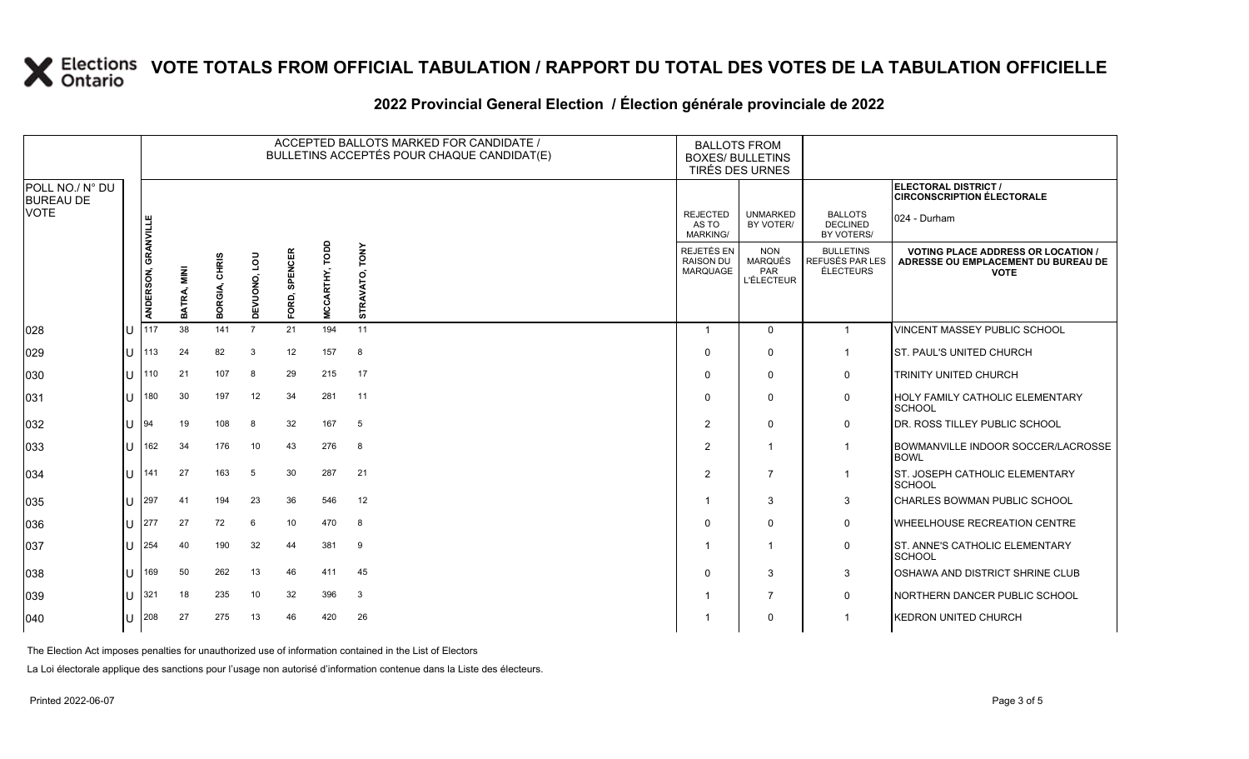|                                     |    |                     |                     |                  |                        |                         |                       | ACCEPTED BALLOTS MARKED FOR CANDIDATE /<br>BULLETINS ACCEPTÉS POUR CHAQUE CANDIDAT(E) | <b>BALLOTS FROM</b><br><b>BOXES/ BULLETINS</b>    | <b>TIRÉS DES URNES</b>                                          |                                                         |                                                                                                 |
|-------------------------------------|----|---------------------|---------------------|------------------|------------------------|-------------------------|-----------------------|---------------------------------------------------------------------------------------|---------------------------------------------------|-----------------------------------------------------------------|---------------------------------------------------------|-------------------------------------------------------------------------------------------------|
| POLL NO./ N° DU<br><b>BUREAU DE</b> |    |                     |                     |                  |                        |                         |                       |                                                                                       |                                                   |                                                                 |                                                         | ELECTORAL DISTRICT /<br><b>CIRCONSCRIPTION ÉLECTORALE</b>                                       |
| <b>VOTE</b>                         |    |                     |                     |                  |                        |                         |                       |                                                                                       | <b>REJECTED</b><br>AS TO<br><b>MARKING/</b>       | <b>UNMARKED</b><br>BY VOTER/                                    | <b>BALLOTS</b><br><b>DECLINED</b><br>BY VOTERS/         | 024 - Durham                                                                                    |
|                                     |    | ANDERSON, GRANVILLE | NIN<br>Ni<br>BATRA, | CHRIS<br>BORGIA, | <b>POT</b><br>DEVUONO, | <b>SPENCER</b><br>FORD, | <b>MCCARTHY, TODD</b> | <b>TONY</b><br>õ<br>STRAVAT                                                           | REJETÉS EN<br><b>RAISON DU</b><br><b>MARQUAGE</b> | <b>NON</b><br><b>MARQUÉS</b><br><b>PAR</b><br><b>L'ÉLECTEUR</b> | <b>BULLETINS</b><br>REFUSÉS PAR LES<br><b>ÉLECTEURS</b> | <b>VOTING PLACE ADDRESS OR LOCATION /</b><br>ADRESSE OU EMPLACEMENT DU BUREAU DE<br><b>VOTE</b> |
| 028                                 | IU | 117                 | 38                  | 141              | $\overline{7}$         | 21                      | 194                   | 11                                                                                    | -1                                                | $\mathbf{0}$                                                    | $\overline{1}$                                          | VINCENT MASSEY PUBLIC SCHOOL                                                                    |
| 029                                 | IU | 113                 | 24                  | 82               | 3                      | 12                      | 157                   | 8                                                                                     | $\Omega$                                          | $\mathbf 0$                                                     | $\mathbf 1$                                             | <b>ST. PAUL'S UNITED CHURCH</b>                                                                 |
| 030                                 | IU | 110                 | 21                  | 107              | 8                      | 29                      | 215                   | 17                                                                                    | $\Omega$                                          | $\mathbf 0$                                                     | 0                                                       | TRINITY UNITED CHURCH                                                                           |
| 031                                 | IU | 180                 | 30                  | 197              | 12                     | 34                      | 281                   | 11                                                                                    | $\Omega$                                          | $\Omega$                                                        | 0                                                       | <b>HOLY FAMILY CATHOLIC ELEMENTARY</b><br><b>SCHOOL</b>                                         |
| 032                                 | IU | 194                 | 19                  | 108              | 8                      | 32                      | 167                   | 5                                                                                     | $\mathcal{P}$                                     | $\Omega$                                                        | 0                                                       | DR. ROSS TILLEY PUBLIC SCHOOL                                                                   |
| 033                                 | IU | 162                 | 34                  | 176              | 10                     | 43                      | 276                   | 8                                                                                     | $\mathcal{P}$                                     | $\overline{1}$                                                  | $\overline{1}$                                          | <b>BOWMANVILLE INDOOR SOCCER/LACROSSE</b><br><b>BOWL</b>                                        |
| 034                                 | IU | 141                 | 27                  | 163              | 5                      | 30                      | 287                   | 21                                                                                    | $\mathcal{P}$                                     | $\overline{7}$                                                  | $\overline{1}$                                          | ST. JOSEPH CATHOLIC ELEMENTARY<br>SCHOOL                                                        |
| 035                                 | Ш  | 297                 | 41                  | 194              | 23                     | 36                      | 546                   | 12                                                                                    |                                                   | 3                                                               | $\mathbf{3}$                                            | CHARLES BOWMAN PUBLIC SCHOOL                                                                    |
| 036                                 | IU | 1277                | 27                  | 72               | 6                      | 10                      | 470                   | 8                                                                                     | $\Omega$                                          | $\Omega$                                                        | $\mathbf 0$                                             | <b>WHEELHOUSE RECREATION CENTRE</b>                                                             |
| 037                                 | IU | 254                 | 40                  | 190              | 32                     | 44                      | 381                   | 9                                                                                     |                                                   | $\overline{\mathbf{1}}$                                         | 0                                                       | ST. ANNE'S CATHOLIC ELEMENTARY<br><b>SCHOOL</b>                                                 |
| 038                                 | IU | 169                 | 50                  | 262              | 13                     | 46                      | 411                   | 45                                                                                    | $\Omega$                                          | 3                                                               | 3                                                       | OSHAWA AND DISTRICT SHRINE CLUB                                                                 |
| 039                                 | IU | 321                 | 18                  | 235              | 10                     | 32                      | 396                   | 3                                                                                     |                                                   | $\overline{7}$                                                  | $\mathbf 0$                                             | NORTHERN DANCER PUBLIC SCHOOL                                                                   |
| 040                                 |    | $U$ 208             | 27                  | 275              | 13                     | 46                      | 420                   | 26                                                                                    |                                                   | 0                                                               | $\overline{\mathbf{1}}$                                 | <b>KEDRON UNITED CHURCH</b>                                                                     |

### **2022 Provincial General Election / Élection générale provinciale de 2022**

The Election Act imposes penalties for unauthorized use of information contained in the List of Electors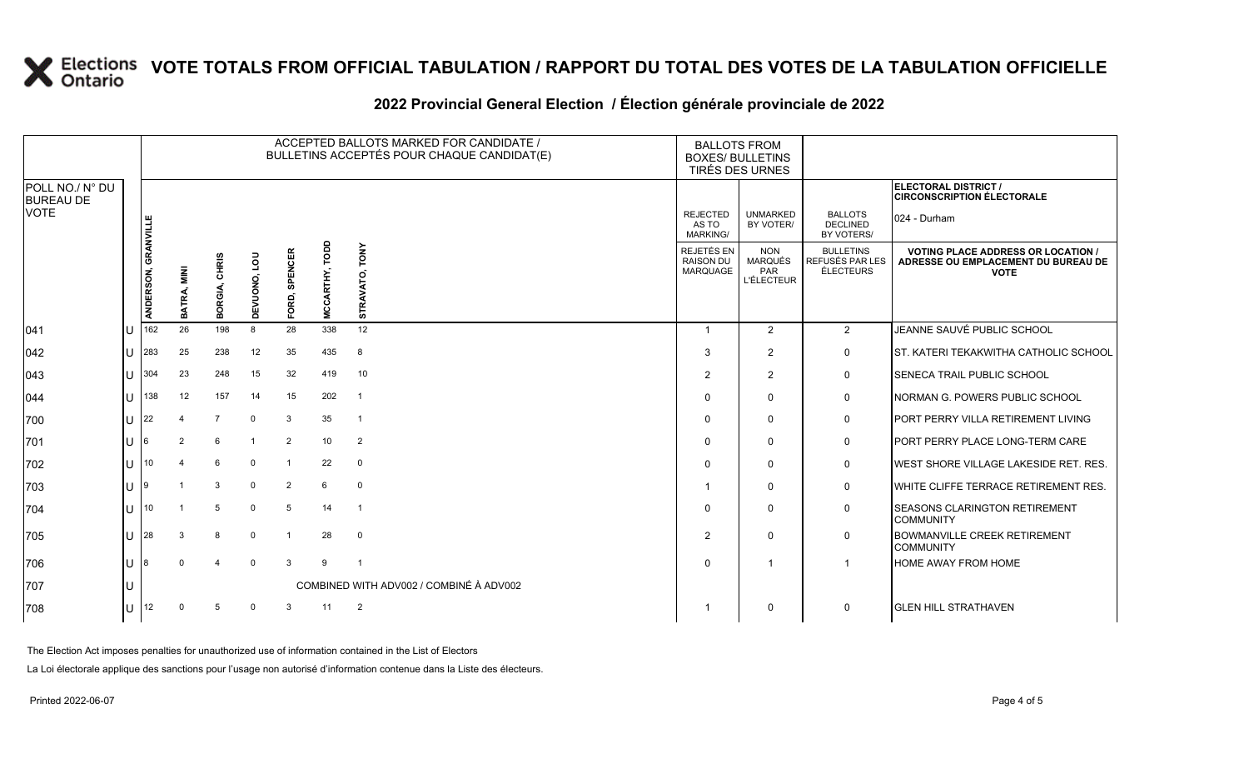|                                             |                     |                                |                  |                 |                         |                          |                   | ACCEPTED BALLOTS MARKED FOR CANDIDATE /<br>BULLETINS ACCEPTÉS POUR CHAQUE CANDIDAT(E) | <b>BALLOTS FROM</b><br><b>BOXES/ BULLETINS</b>           | TIRÉS DES URNES                                  |                                                                                                 |                                                           |
|---------------------------------------------|---------------------|--------------------------------|------------------|-----------------|-------------------------|--------------------------|-------------------|---------------------------------------------------------------------------------------|----------------------------------------------------------|--------------------------------------------------|-------------------------------------------------------------------------------------------------|-----------------------------------------------------------|
| POLL NO./ N° DU<br><b>BUREAU DE</b><br>VOTE |                     |                                |                  |                 |                         |                          |                   |                                                                                       |                                                          |                                                  | ELECTORAL DISTRICT /<br><b>CIRCONSCRIPTION ÉLECTORALE</b>                                       |                                                           |
|                                             |                     |                                |                  |                 |                         |                          |                   | <b>REJECTED</b><br>AS TO<br><b>MARKING/</b>                                           | <b>UNMARKED</b><br>BY VOTER/                             | <b>BALLOTS</b><br><b>DECLINED</b><br>BY VOTERS/  | $ 024 - Durham$                                                                                 |                                                           |
|                                             | ANDERSON, GRANVILLE | NIN<br>Ni<br><b>ATRA</b><br>മ് | CHRIS<br>BORGIA, | non<br>DEVUONO, | <b>SPENCER</b><br>FORD, | TODD<br><b>MCCARTHY,</b> | TONY<br>STRAVATO, | REJETÉS EN<br><b>RAISON DU</b><br><b>MARQUAGE</b>                                     | <b>NON</b><br><b>MARQUÉS</b><br>PAR<br><b>L'ÉLECTEUR</b> | <b>BULLETINS</b><br>REFUSÉS PAR LES<br>ÉLECTEURS | <b>VOTING PLACE ADDRESS OR LOCATION /</b><br>ADRESSE OU EMPLACEMENT DU BUREAU DE<br><b>VOTE</b> |                                                           |
| 041                                         | IU                  | 162                            | 26               | 198             | 8                       | 28                       | 338               | 12 <sup>°</sup>                                                                       | $\overline{\mathbf{1}}$                                  | 2                                                | $\overline{2}$                                                                                  | JEANNE SAUVÉ PUBLIC SCHOOL                                |
| 042                                         | IU                  | 283                            | 25               | 238             | 12                      | 35                       | 435               | 8                                                                                     | 3                                                        | $\overline{2}$                                   | 0                                                                                               | <b>ST. KATERI TEKAKWITHA CATHOLIC SCHOOL</b>              |
| 043                                         | ш                   | 304                            | 23               | 248             | 15                      | 32                       | 419               | 10                                                                                    | 2                                                        | 2                                                | 0                                                                                               | <b>ISENECA TRAIL PUBLIC SCHOOL</b>                        |
| 044                                         | IU                  | $ 138\rangle$                  | 12               | 157             | 14                      | 15                       | 202               | $\overline{1}$                                                                        | $\Omega$                                                 | $\mathbf{0}$                                     | 0                                                                                               | <b>INORMAN G. POWERS PUBLIC SCHOOL</b>                    |
| 700                                         | ΙU                  | 22                             |                  | $\overline{7}$  | $\mathbf 0$             | 3                        | 35                | $\overline{1}$                                                                        | $\Omega$                                                 | $\mathbf{0}$                                     | 0                                                                                               | PORT PERRY VILLA RETIREMENT LIVING                        |
| 701                                         | IU                  | 16                             | $\overline{2}$   | 6               |                         | $\overline{2}$           | 10                | $\overline{2}$                                                                        | 0                                                        | $\Omega$                                         | 0                                                                                               | <b>IPORT PERRY PLACE LONG-TERM CARE</b>                   |
| 702                                         | ΙU                  | 10                             | 4                | 6               | $\mathbf{0}$            | $\mathbf 1$              | 22                | $\mathbf 0$                                                                           | $\Omega$                                                 | $\mathbf{0}$                                     | 0                                                                                               | <b>IWEST SHORE VILLAGE LAKESIDE RET. RES.</b>             |
| 703                                         | IU.                 | - 19                           |                  | 3               | 0                       | 2                        | 6                 | $\mathbf 0$                                                                           |                                                          | $\mathbf 0$                                      | 0                                                                                               | WHITE CLIFFE TERRACE RETIREMENT RES.                      |
| 704                                         | IU                  | 10                             |                  | 5               | $\mathbf{0}$            | 5                        | 14                | $\overline{1}$                                                                        | 0                                                        | $\mathbf{0}$                                     | 0                                                                                               | <b>ISEASONS CLARINGTON RETIREMENT</b><br><b>COMMUNITY</b> |
| 705                                         | IU                  | 28                             | 3                | 8               | 0                       |                          | 28                | $\overline{0}$                                                                        | $\overline{2}$                                           | $\mathbf{0}$                                     | $\mathbf 0$                                                                                     | <b>BOWMANVILLE CREEK RETIREMENT</b><br><b>COMMUNITY</b>   |
| 706                                         | IU                  | 18                             | $\Omega$         | 4               | $\mathbf 0$             | 3                        | 9                 | $\overline{\mathbf{1}}$                                                               | $\Omega$                                                 |                                                  | -1                                                                                              | <b>HOME AWAY FROM HOME</b>                                |
| 707                                         | IU                  |                                |                  |                 |                         |                          |                   | COMBINED WITH ADV002 / COMBINÉ À ADV002                                               |                                                          |                                                  |                                                                                                 |                                                           |
| 708                                         |                     | $ U ^{12}$                     | $\mathbf 0$      | $5\phantom{.0}$ | 0                       | $\mathbf{3}$             | 11                | $\overline{2}$                                                                        | -1                                                       | $\mathbf 0$                                      | 0                                                                                               | <b>GLEN HILL STRATHAVEN</b>                               |

### **2022 Provincial General Election / Élection générale provinciale de 2022**

The Election Act imposes penalties for unauthorized use of information contained in the List of Electors